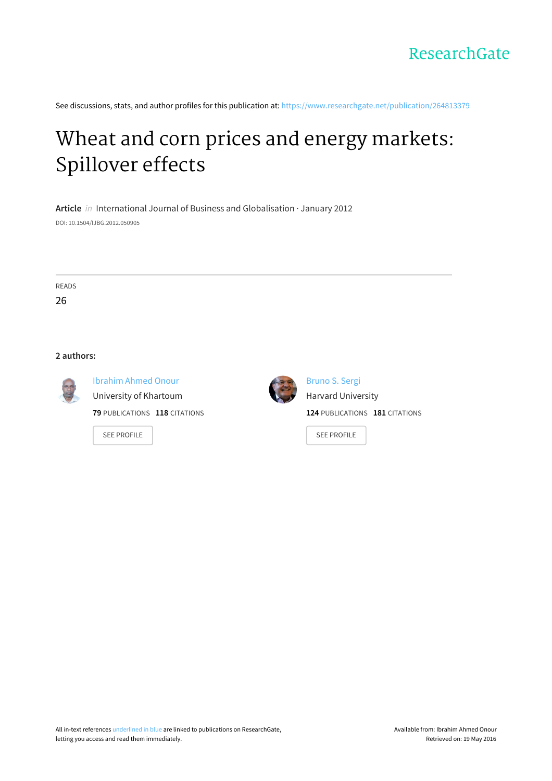See discussions, stats, and author profiles for this publication at: [https://www.researchgate.net/publication/264813379](https://www.researchgate.net/publication/264813379_Wheat_and_corn_prices_and_energy_markets_Spillover_effects?enrichId=rgreq-02e2c527-cd91-4c66-81cc-125ea640c621&enrichSource=Y292ZXJQYWdlOzI2NDgxMzM3OTtBUzoxOTA5MDQ2OTIyMDc2MTdAMTQyMjUyNjYzMzU0OQ%3D%3D&el=1_x_2)

# Wheat and corn prices and energy [markets:](https://www.researchgate.net/publication/264813379_Wheat_and_corn_prices_and_energy_markets_Spillover_effects?enrichId=rgreq-02e2c527-cd91-4c66-81cc-125ea640c621&enrichSource=Y292ZXJQYWdlOzI2NDgxMzM3OTtBUzoxOTA5MDQ2OTIyMDc2MTdAMTQyMjUyNjYzMzU0OQ%3D%3D&el=1_x_3) Spillover effects

**Article** in International Journal of Business and Globalisation · January 2012 DOI: 10.1504/IJBG.2012.050905

READS 26

#### **2 authors:**



[Ibrahim](https://www.researchgate.net/profile/Ibrahim_Onour?enrichId=rgreq-02e2c527-cd91-4c66-81cc-125ea640c621&enrichSource=Y292ZXJQYWdlOzI2NDgxMzM3OTtBUzoxOTA5MDQ2OTIyMDc2MTdAMTQyMjUyNjYzMzU0OQ%3D%3D&el=1_x_5) Ahmed Onour University of [Khartoum](https://www.researchgate.net/institution/University_of_Khartoum?enrichId=rgreq-02e2c527-cd91-4c66-81cc-125ea640c621&enrichSource=Y292ZXJQYWdlOzI2NDgxMzM3OTtBUzoxOTA5MDQ2OTIyMDc2MTdAMTQyMjUyNjYzMzU0OQ%3D%3D&el=1_x_6) **79** PUBLICATIONS **118** CITATIONS

SEE [PROFILE](https://www.researchgate.net/profile/Ibrahim_Onour?enrichId=rgreq-02e2c527-cd91-4c66-81cc-125ea640c621&enrichSource=Y292ZXJQYWdlOzI2NDgxMzM3OTtBUzoxOTA5MDQ2OTIyMDc2MTdAMTQyMjUyNjYzMzU0OQ%3D%3D&el=1_x_7)



[Bruno](https://www.researchgate.net/profile/Bruno_Sergi?enrichId=rgreq-02e2c527-cd91-4c66-81cc-125ea640c621&enrichSource=Y292ZXJQYWdlOzI2NDgxMzM3OTtBUzoxOTA5MDQ2OTIyMDc2MTdAMTQyMjUyNjYzMzU0OQ%3D%3D&el=1_x_5) S. Sergi Harvard [University](https://www.researchgate.net/institution/Harvard_University?enrichId=rgreq-02e2c527-cd91-4c66-81cc-125ea640c621&enrichSource=Y292ZXJQYWdlOzI2NDgxMzM3OTtBUzoxOTA5MDQ2OTIyMDc2MTdAMTQyMjUyNjYzMzU0OQ%3D%3D&el=1_x_6) **124** PUBLICATIONS **181** CITATIONS

SEE [PROFILE](https://www.researchgate.net/profile/Bruno_Sergi?enrichId=rgreq-02e2c527-cd91-4c66-81cc-125ea640c621&enrichSource=Y292ZXJQYWdlOzI2NDgxMzM3OTtBUzoxOTA5MDQ2OTIyMDc2MTdAMTQyMjUyNjYzMzU0OQ%3D%3D&el=1_x_7)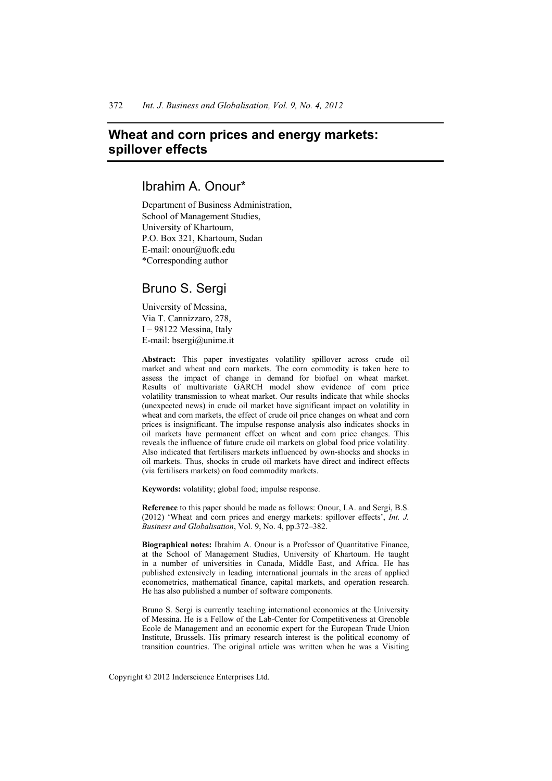# **Wheat and corn prices and energy markets: spillover effects**

Ibrahim A. Onour\*

Department of Business Administration, School of Management Studies, University of Khartoum, P.O. Box 321, Khartoum, Sudan E-mail: onour@uofk.edu \*Corresponding author

# Bruno S. Sergi

University of Messina, Via T. Cannizzaro, 278, I – 98122 Messina, Italy E-mail: bsergi@unime.it

**Abstract:** This paper investigates volatility spillover across crude oil market and wheat and corn markets. The corn commodity is taken here to assess the impact of change in demand for biofuel on wheat market. Results of multivariate GARCH model show evidence of corn price volatility transmission to wheat market. Our results indicate that while shocks (unexpected news) in crude oil market have significant impact on volatility in wheat and corn markets, the effect of crude oil price changes on wheat and corn prices is insignificant. The impulse response analysis also indicates shocks in oil markets have permanent effect on wheat and corn price changes. This reveals the influence of future crude oil markets on global food price volatility. Also indicated that fertilisers markets influenced by own-shocks and shocks in oil markets. Thus, shocks in crude oil markets have direct and indirect effects (via fertilisers markets) on food commodity markets.

**Keywords:** volatility; global food; impulse response.

**Reference** to this paper should be made as follows: Onour, I.A. and Sergi, B.S. (2012) 'Wheat and corn prices and energy markets: spillover effects', *Int. J. Business and Globalisation*, Vol. 9, No. 4, pp.372–382.

**Biographical notes:** Ibrahim A. Onour is a Professor of Quantitative Finance, at the School of Management Studies, University of Khartoum. He taught in a number of universities in Canada, Middle East, and Africa. He has published extensively in leading international journals in the areas of applied econometrics, mathematical finance, capital markets, and operation research. He has also published a number of software components.

Bruno S. Sergi is currently teaching international economics at the University of Messina. He is a Fellow of the Lab-Center for Competitiveness at Grenoble Ecole de Management and an economic expert for the European Trade Union Institute, Brussels. His primary research interest is the political economy of transition countries. The original article was written when he was a Visiting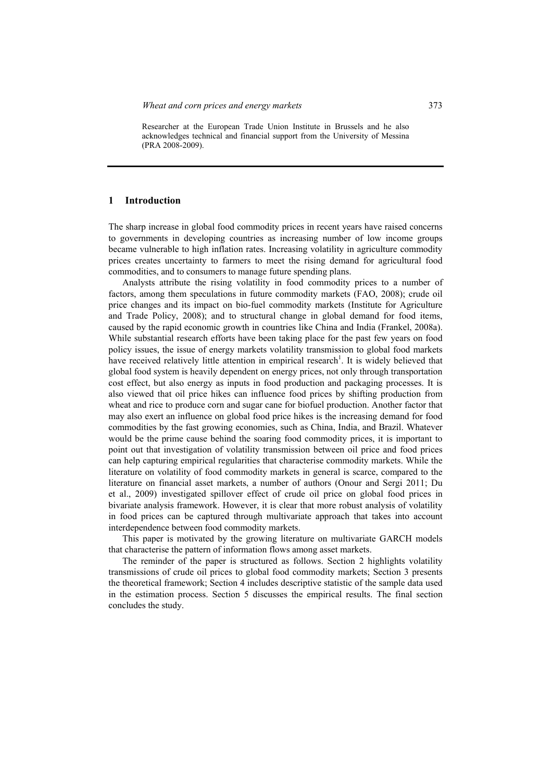Researcher at the European Trade Union Institute in Brussels and he also acknowledges technical and financial support from the University of Messina (PRA 2008-2009).

## **1 Introduction**

The sharp increase in global food commodity prices in recent years have raised concerns to governments in developing countries as increasing number of low income groups became vulnerable to high inflation rates. Increasing volatility in agriculture commodity prices creates uncertainty to farmers to meet the rising demand for agricultural food commodities, and to consumers to manage future spending plans.

Analysts attribute the rising volatility in food commodity prices to a number of factors, among them speculations in future commodity markets (FAO, 2008); crude oil price changes and its impact on bio-fuel commodity markets (Institute for Agriculture and Trade Policy, 2008); and to structural change in global demand for food items, caused by the rapid economic growth in countries like China and India (Frankel, 2008a). While substantial research efforts have been taking place for the past few years on food policy issues, the issue of energy markets volatility transmission to global food markets have received relatively little attention in empirical research<sup>1</sup>. It is widely believed that global food system is heavily dependent on energy prices, not only through transportation cost effect, but also energy as inputs in food production and packaging processes. It is also viewed that oil price hikes can influence food prices by shifting production from wheat and rice to produce corn and sugar cane for biofuel production. Another factor that may also exert an influence on global food price hikes is the increasing demand for food commodities by the fast growing economies, such as China, India, and Brazil. Whatever would be the prime cause behind the soaring food commodity prices, it is important to point out that investigation of volatility transmission between oil price and food prices can help capturing empirical regularities that characterise commodity markets. While the literature on volatility of food commodity markets in general is scarce, compared to the literature on financial asset markets, a number of authors (Onour and Sergi 2011; Du et al., 2009) investigated spillover effect of crude oil price on global food prices in bivariate analysis framework. However, it is clear that more robust analysis of volatility in food prices can be captured through multivariate approach that takes into account interdependence between food commodity markets.

This paper is motivated by the growing literature on multivariate GARCH models that characterise the pattern of information flows among asset markets.

The reminder of the paper is structured as follows. Section 2 highlights volatility transmissions of crude oil prices to global food commodity markets; Section 3 presents the theoretical framework; Section 4 includes descriptive statistic of the sample data used in the estimation process. Section 5 discusses the empirical results. The final section concludes the study.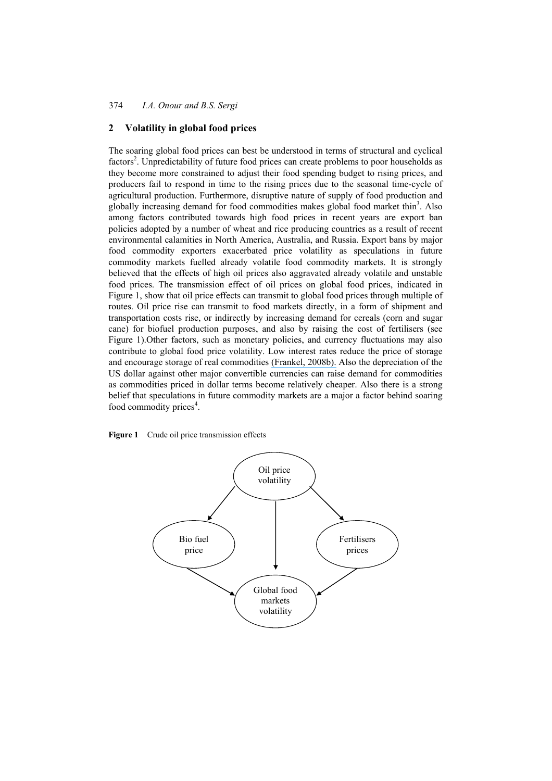## **2 Volatility in global food prices**

The soaring global food prices can best be understood in terms of structural and cyclical factors<sup>2</sup>. Unpredictability of future food prices can create problems to poor households as they become more constrained to adjust their food spending budget to rising prices, and producers fail to respond in time to the rising prices due to the seasonal time-cycle of agricultural production. Furthermore, disruptive nature of supply of food production and globally increasing demand for food commodities makes global food market thin<sup>3</sup>. Also among factors contributed towards high food prices in recent years are export ban policies adopted by a number of wheat and rice producing countries as a result of recent environmental calamities in North America, Australia, and Russia. Export bans by major food commodity exporters exacerbated price volatility as speculations in future commodity markets fuelled already volatile food commodity markets. It is strongly believed that the effects of high oil prices also aggravated already volatile and unstable food prices. The transmission effect of oil prices on global food prices, indicated in Figure 1, show that oil price effects can transmit to global food prices through multiple of routes. Oil price rise can transmit to food markets directly, in a form of shipment and transportation costs rise, or indirectly by increasing demand for cereals (corn and sugar cane) for biofuel production purposes, and also by raising the cost of fertilisers (see Figure 1).Other factors, such as monetary policies, and currency fluctuations may also contribute to global food price volatility. Low interest rates reduce the price of storage and encourage storage of real commodities [\(Frankel, 2008b\).](https://www.researchgate.net/publication/227438278_US_monetary_policy_and_commodity_prices?el=1_x_8&enrichId=rgreq-02e2c527-cd91-4c66-81cc-125ea640c621&enrichSource=Y292ZXJQYWdlOzI2NDgxMzM3OTtBUzoxOTA5MDQ2OTIyMDc2MTdAMTQyMjUyNjYzMzU0OQ==) Also the depreciation of the US dollar against other major convertible currencies can raise demand for commodities as commodities priced in dollar terms become relatively cheaper. Also there is a strong belief that speculations in future commodity markets are a major a factor behind soaring food commodity prices<sup>4</sup>.

**Figure 1** Crude oil price transmission effects

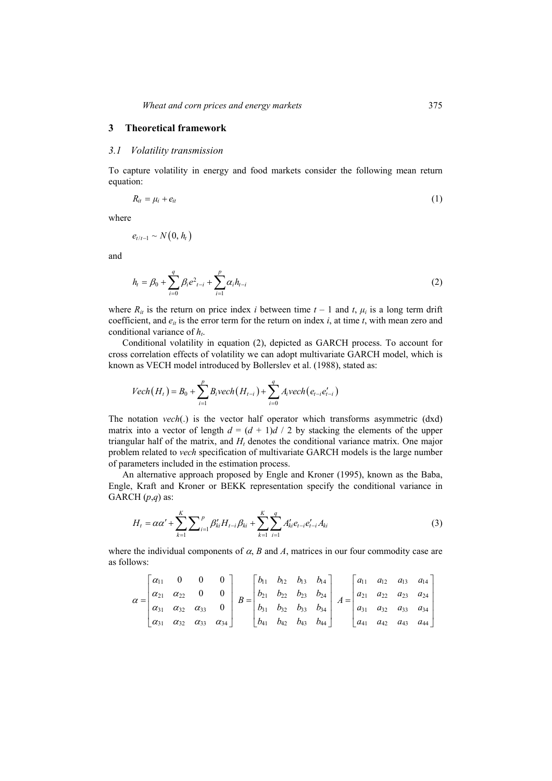#### **3 Theoretical framework**

#### *3.1 Volatility transmission*

To capture volatility in energy and food markets consider the following mean return equation:

$$
R_{it} = \mu_i + e_{it} \tag{1}
$$

where

$$
e_{t/t-1} \sim N(0, h_t)
$$

and

$$
h_{t} = \beta_0 + \sum_{i=0}^{q} \beta_i e_{t-i}^{2} + \sum_{i=1}^{p} \alpha_i h_{t-i}
$$
 (2)

where  $R_{it}$  is the return on price index *i* between time  $t - 1$  and  $t$ ,  $\mu_i$  is a long term drift coefficient, and  $e_{it}$  is the error term for the return on index  $i$ , at time  $t$ , with mean zero and conditional variance of  $h_t$ .

Conditional volatility in equation (2), depicted as GARCH process. To account for cross correlation effects of volatility we can adopt multivariate GARCH model, which is known as VECH model introduced by Bollerslev et al. (1988), stated as:

$$
Vech(H_t) = B_0 + \sum_{i=1}^{p} B_i vech(H_{t-i}) + \sum_{i=0}^{q} A_i vech(e_{t-i}e'_{t-i})
$$

The notation *vech*(.) is the vector half operator which transforms asymmetric (dxd) matrix into a vector of length  $d = (d + 1)d / 2$  by stacking the elements of the upper triangular half of the matrix, and  $H_t$  denotes the conditional variance matrix. One major problem related to *vech* specification of multivariate GARCH models is the large number of parameters included in the estimation process.

An alternative approach proposed by Engle and Kroner (1995), known as the Baba, Engle, Kraft and Kroner or BEKK representation specify the conditional variance in GARCH (*p*,*q*) as:

$$
H_{t} = \alpha \alpha' + \sum_{k=1}^{K} \sum_{i=1}^{p} \beta'_{ki} H_{t-i} \beta_{ki} + \sum_{k=1}^{K} \sum_{i=1}^{q} A'_{ki} e_{t-i} e'_{t-i} A_{ki}
$$
(3)

where the individual components of  $\alpha$ , *B* and *A*, matrices in our four commodity case are as follows:

$$
\alpha = \begin{bmatrix} \alpha_{11} & 0 & 0 & 0 \\ \alpha_{21} & \alpha_{22} & 0 & 0 \\ \alpha_{31} & \alpha_{32} & \alpha_{33} & 0 \\ \alpha_{31} & \alpha_{32} & \alpha_{33} & \alpha_{34} \end{bmatrix} B = \begin{bmatrix} b_{11} & b_{12} & b_{13} & b_{14} \\ b_{21} & b_{22} & b_{23} & b_{24} \\ b_{31} & b_{32} & b_{33} & b_{34} \\ b_{41} & b_{42} & b_{43} & b_{44} \end{bmatrix} A = \begin{bmatrix} a_{11} & a_{12} & a_{13} & a_{14} \\ a_{21} & a_{22} & a_{23} & a_{24} \\ a_{31} & a_{32} & a_{33} & a_{34} \\ a_{41} & a_{42} & a_{43} & a_{44} \end{bmatrix}
$$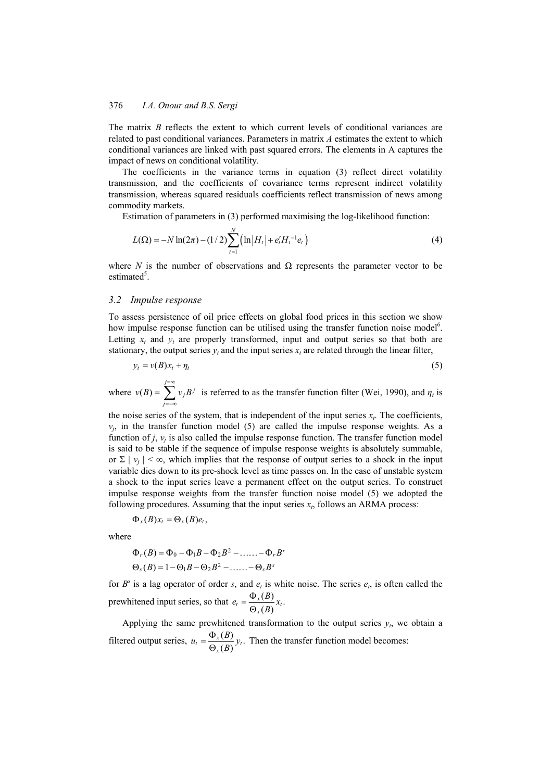The matrix *B* reflects the extent to which current levels of conditional variances are related to past conditional variances. Parameters in matrix *A* estimates the extent to which conditional variances are linked with past squared errors. The elements in A captures the impact of news on conditional volatility.

The coefficients in the variance terms in equation (3) reflect direct volatility transmission, and the coefficients of covariance terms represent indirect volatility transmission, whereas squared residuals coefficients reflect transmission of news among commodity markets.

Estimation of parameters in (3) performed maximising the log-likelihood function:

$$
L(\Omega) = -N \ln(2\pi) - (1/2) \sum_{t=1}^{N} \left( \ln |H_t| + e_t' H_t^{-1} e_t \right)
$$
\n(4)

where *N* is the number of observations and  $\Omega$  represents the parameter vector to be estimated<sup>5</sup>.

#### *3.2 Impulse response*

To assess persistence of oil price effects on global food prices in this section we show how impulse response function can be utilised using the transfer function noise model<sup>6</sup>. Letting  $x_t$  and  $y_t$  are properly transformed, input and output series so that both are stationary, the output series  $y_t$  and the input series  $x_t$  are related through the linear filter,

$$
y_t = v(B)x_t + \eta_t \tag{5}
$$

where  $v(B)$ *j*  $j^B$ *j*  $v(B) = \sum v_i B$ =∞  $=\sum_{j=-\infty}^{\infty} v_j B^j$  is referred to as the transfer function filter (Wei, 1990), and  $\eta_t$  is

the noise series of the system, that is independent of the input series  $x_t$ . The coefficients,  $v_i$ , in the transfer function model (5) are called the impulse response weights. As a function of  $j$ ,  $v_i$  is also called the impulse response function. The transfer function model is said to be stable if the sequence of impulse response weights is absolutely summable, or  $\Sigma |v_i| < \infty$ , which implies that the response of output series to a shock in the input variable dies down to its pre-shock level as time passes on. In the case of unstable system a shock to the input series leave a permanent effect on the output series. To construct impulse response weights from the transfer function noise model (5) we adopted the following procedures. Assuming that the input series  $x_t$ , follows an ARMA process:

$$
\Phi_x(B)x_t=\Theta_x(B)e_t,
$$

where

$$
\Phi_r(B) = \Phi_0 - \Phi_1 B - \Phi_2 B^2 - \dots - \Phi_r B^r
$$
  

$$
\Theta_s(B) = 1 - \Theta_1 B - \Theta_2 B^2 - \dots - \Theta_s B^s
$$

for  $B^s$  is a lag operator of order *s*, and  $e_t$  is white noise. The series  $e_t$ , is often called the prewhitened input series, so that  $e_t = \frac{\Phi_x(B)}{\Theta_x(B)} x_t$ .  $e_t = \frac{\Phi_x(B)}{\Theta_x(B)} x$ 

Applying the same prewhitened transformation to the output series  $y_t$ , we obtain a filtered output series,  $u_t = \frac{\Phi_x(B)}{\Theta_x(B)} y_t$ .  $u_t = \frac{\Phi_x(B)}{\Theta_x(B)} y_t$ . Then the transfer function model becomes: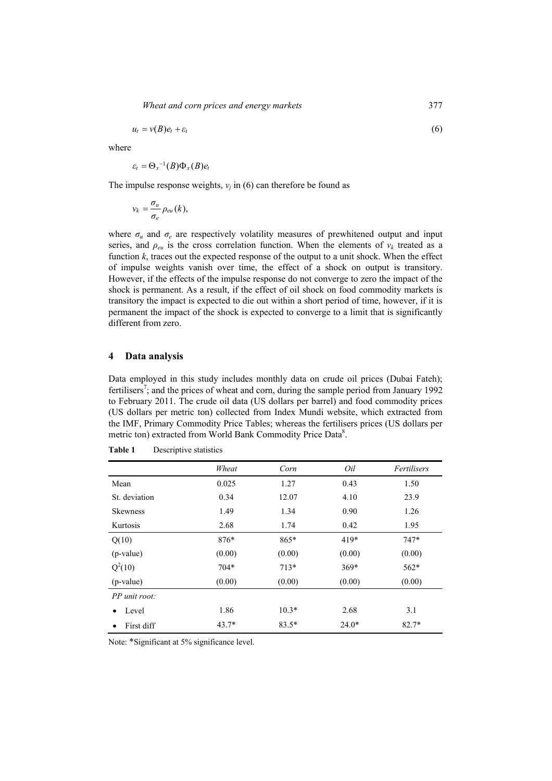$$
u_t = v(B)e_t + \varepsilon_t \tag{6}
$$

where

$$
\varepsilon_t = \Theta_x^{-1}(B)\Phi_x(B)e_t
$$

The impulse response weights,  $v_i$  in (6) can therefore be found as

$$
v_k = \frac{\sigma_u}{\sigma_e} \rho_{eu}(k),
$$

where  $\sigma_u$  and  $\sigma_e$  are respectively volatility measures of prewhitened output and input series, and  $\rho_{eu}$  is the cross correlation function. When the elements of  $v_k$  treated as a function *k*, traces out the expected response of the output to a unit shock. When the effect of impulse weights vanish over time, the effect of a shock on output is transitory. However, if the effects of the impulse response do not converge to zero the impact of the shock is permanent. As a result, if the effect of oil shock on food commodity markets is transitory the impact is expected to die out within a short period of time, however, if it is permanent the impact of the shock is expected to converge to a limit that is significantly different from zero.

#### **4 Data analysis**

Data employed in this study includes monthly data on crude oil prices (Dubai Fateh); fertilisers<sup>7</sup>; and the prices of wheat and corn, during the sample period from January 1992 to February 2011. The crude oil data (US dollars per barrel) and food commodity prices (US dollars per metric ton) collected from Index Mundi website, which extracted from the IMF, Primary Commodity Price Tables; whereas the fertilisers prices (US dollars per metric ton) extracted from World Bank Commodity Price Data<sup>8</sup>.

|                    | Wheat   | Corn    | Oil     | Fertilisers |
|--------------------|---------|---------|---------|-------------|
| Mean               | 0.025   | 1.27    | 0.43    | 1.50        |
| St. deviation      | 0.34    | 12.07   | 4.10    | 23.9        |
| <b>Skewness</b>    | 1.49    | 1.34    | 0.90    | 1.26        |
| Kurtosis           | 2.68    | 1.74    | 0.42    | 1.95        |
| Q(10)              | $876*$  | 865*    | 419*    | $747*$      |
| (p-value)          | (0.00)  | (0.00)  | (0.00)  | (0.00)      |
| $Q^2(10)$          | $704*$  | $713*$  | $369*$  | $562*$      |
| (p-value)          | (0.00)  | (0.00)  | (0.00)  | (0.00)      |
| PP unit root:      |         |         |         |             |
| Level<br>$\bullet$ | 1.86    | $10.3*$ | 2.68    | 3.1         |
| First diff<br>٠    | $43.7*$ | $83.5*$ | $24.0*$ | $82.7*$     |

**Table 1** Descriptive statistics

Note: \*Significant at 5% significance level.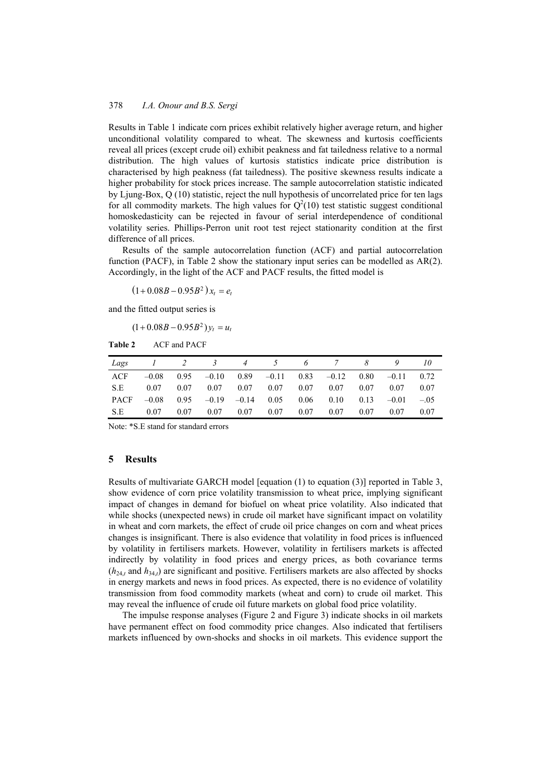Results in Table 1 indicate corn prices exhibit relatively higher average return, and higher unconditional volatility compared to wheat. The skewness and kurtosis coefficients reveal all prices (except crude oil) exhibit peakness and fat tailedness relative to a normal distribution. The high values of kurtosis statistics indicate price distribution is characterised by high peakness (fat tailedness). The positive skewness results indicate a higher probability for stock prices increase. The sample autocorrelation statistic indicated by Ljung-Box, Q (10) statistic, reject the null hypothesis of uncorrelated price for ten lags for all commodity markets. The high values for  $Q^2(10)$  test statistic suggest conditional homoskedasticity can be rejected in favour of serial interdependence of conditional volatility series. Phillips-Perron unit root test reject stationarity condition at the first difference of all prices.

Results of the sample autocorrelation function (ACF) and partial autocorrelation function (PACF), in Table 2 show the stationary input series can be modelled as AR(2). Accordingly, in the light of the ACF and PACF results, the fitted model is

 $(1 + 0.08B - 0.95B^2)x_t = e_t$ 

and the fitted output series is

 $(1 + 0.08B - 0.95B^2)y_t = u_t$ 

**Table 2** ACF and PACF

| Lags        |         |      | 2 $\frac{3}{2}$ |                 | $\frac{4}{5}$        |      | 6 7                                   |      |         |        |
|-------------|---------|------|-----------------|-----------------|----------------------|------|---------------------------------------|------|---------|--------|
| ACF         | $-0.08$ | 0.95 |                 |                 |                      |      | $-0.10$ $0.89$ $-0.11$ $0.83$ $-0.12$ | 0.80 | $-0.11$ | 0.72   |
| S.E         | 0.07    | 0.07 | $0.07$ 0.07     |                 | $0.07$ $0.07$ $0.07$ |      |                                       | 0.07 | 0.07    | 0.07   |
| <b>PACF</b> | $-0.08$ | 0.95 |                 | $-0.19$ $-0.14$ | $0.05$ $0.06$ $0.10$ |      |                                       | 0.13 | $-0.01$ | $-.05$ |
| S.E         | 0.07    | 0.07 | 0.07 0.07       |                 | 0.07                 | 0.07 | 0.07                                  | 0.07 | 0.07    | 0.07   |

Note: \*S.E stand for standard errors

#### **5 Results**

Results of multivariate GARCH model [equation (1) to equation (3)] reported in Table 3, show evidence of corn price volatility transmission to wheat price, implying significant impact of changes in demand for biofuel on wheat price volatility. Also indicated that while shocks (unexpected news) in crude oil market have significant impact on volatility in wheat and corn markets, the effect of crude oil price changes on corn and wheat prices changes is insignificant. There is also evidence that volatility in food prices is influenced by volatility in fertilisers markets. However, volatility in fertilisers markets is affected indirectly by volatility in food prices and energy prices, as both covariance terms  $(h_{24,t}$  and  $h_{34,t}$ ) are significant and positive. Fertilisers markets are also affected by shocks in energy markets and news in food prices. As expected, there is no evidence of volatility transmission from food commodity markets (wheat and corn) to crude oil market. This may reveal the influence of crude oil future markets on global food price volatility.

The impulse response analyses (Figure 2 and Figure 3) indicate shocks in oil markets have permanent effect on food commodity price changes. Also indicated that fertilisers markets influenced by own-shocks and shocks in oil markets. This evidence support the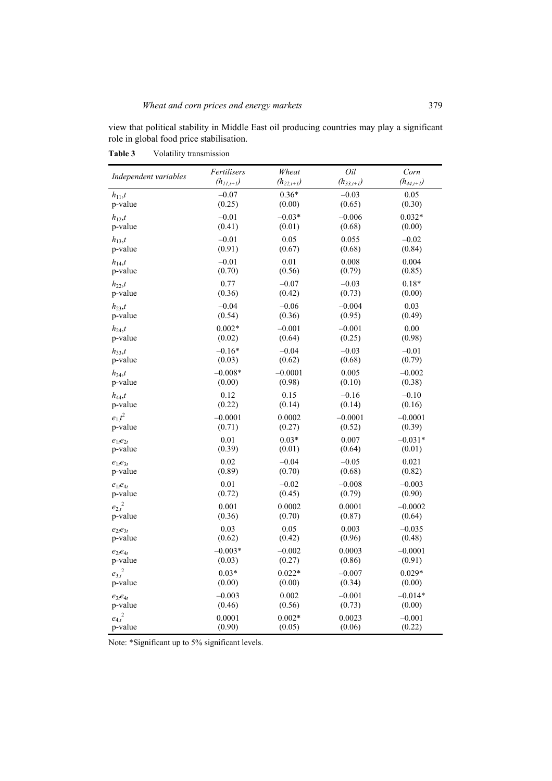view that political stability in Middle East oil producing countries may play a significant role in global food price stabilisation.

**Table 3** Volatility transmission

| Independent variables     | Fertilisers        | Wheat              | Oil                | Corn                |
|---------------------------|--------------------|--------------------|--------------------|---------------------|
|                           | $(h_{11,t+1})$     | $(h_{22,t+1})$     | $(h_{33,t+1})$     | $(h_{44,t+1})$      |
| $h_{11}$ ,t<br>p-value    | $-0.07$<br>(0.25)  | $0.36*$<br>(0.00)  | $-0.03$<br>(0.65)  | 0.05<br>(0.30)      |
|                           | $-0.01$            | $-0.03*$           | $-0.006$           | $0.032*$            |
| $h_{12}$ ,t<br>p-value    | (0.41)             | (0.01)             | (0.68)             | (0.00)              |
| $h_{13}$ ,t               | $-0.01$            | 0.05               | 0.055              | $-0.02$             |
| p-value                   | (0.91)             | (0.67)             | (0.68)             | (0.84)              |
| $h_{14}$ ,t               | $-0.01$            | 0.01               | 0.008              | 0.004               |
| p-value                   | (0.70)             | (0.56)             | (0.79)             | (0.85)              |
| $h_{22}$ ,t               | 0.77               | $-0.07$            | $-0.03$            | $0.18*$             |
| p-value                   | (0.36)             | (0.42)             | (0.73)             | (0.00)              |
| $h_{23}$ ,t               | $-0.04$            | $-0.06$            | $-0.004$           | 0.03                |
| p-value                   | (0.54)             | (0.36)             | (0.95)             | (0.49)              |
| $h_{24}$ ,t<br>p-value    | $0.002*$<br>(0.02) | $-0.001$<br>(0.64) | $-0.001$<br>(0.25) | 0.00<br>(0.98)      |
|                           |                    |                    |                    |                     |
| $h_{33}$ , t<br>p-value   | $-0.16*$<br>(0.03) | $-0.04$<br>(0.62)  | $-0.03$<br>(0.68)  | $-0.01$<br>(0.79)   |
|                           | $-0.008*$          | $-0.0001$          | 0.005              | $-0.002$            |
| $h_{34}$ , t<br>p-value   | (0.00)             | (0.98)             | (0.10)             | (0.38)              |
| $h_{44}$ ,t               | 0.12               | 0.15               | $-0.16$            | $-0.10$             |
| p-value                   | (0.22)             | (0.14)             | (0.14)             | (0.16)              |
| $e_1 t^2$                 | $-0.0001$          | 0.0002             | $-0.0001$          | $-0.0001$           |
| p-value                   | (0.71)             | (0.27)             | (0.52)             | (0.39)              |
| $e_1e_2$                  | 0.01               | $0.03*$            | 0.007              | $-0.031*$           |
| p-value                   | (0.39)             | (0.01)             | (0.64)             | (0.01)              |
| $e_{1t}e_{3t}$            | 0.02               | $-0.04$            | $-0.05$            | 0.021               |
| p-value                   | (0.89)             | (0.70)             | (0.68)             | (0.82)              |
| $e_{1t}e_{4t}$            | 0.01               | $-0.02$            | $-0.008$           | $-0.003$            |
| p-value                   | (0.72)             | (0.45)             | (0.79)             | (0.90)              |
| $e_{2,t}^2$<br>p-value    | 0.001<br>(0.36)    | 0.0002<br>(0.70)   | 0.0001             | $-0.0002$<br>(0.64) |
|                           |                    |                    | (0.87)             |                     |
| $e_{2t}e_{3t}$<br>p-value | 0.03<br>(0.62)     | 0.05<br>(0.42)     | 0.003<br>(0.96)    | $-0.035$<br>(0.48)  |
|                           | $-0.003*$          | $-0.002$           | 0.0003             | $-0.0001$           |
| $e_{2t}e_{4t}$<br>p-value | (0.03)             | (0.27)             | (0.86)             | (0.91)              |
| $e_{3,t}^{2}$             | $0.03*$            | $0.022*$           | $-0.007$           | $0.029*$            |
| p-value                   | (0.00)             | (0.00)             | (0.34)             | (0.00)              |
| $e_{3t}e_{4t}$            | $-0.003$           | 0.002              | $-0.001$           | $-0.014*$           |
| p-value                   | (0.46)             | (0.56)             | (0.73)             | (0.00)              |
| $e_{4,t}^2$               | 0.0001             | $0.002*$           | 0.0023             | $-0.001$            |
| p-value                   | (0.90)             | (0.05)             | (0.06)             | (0.22)              |

Note: \*Significant up to 5% significant levels.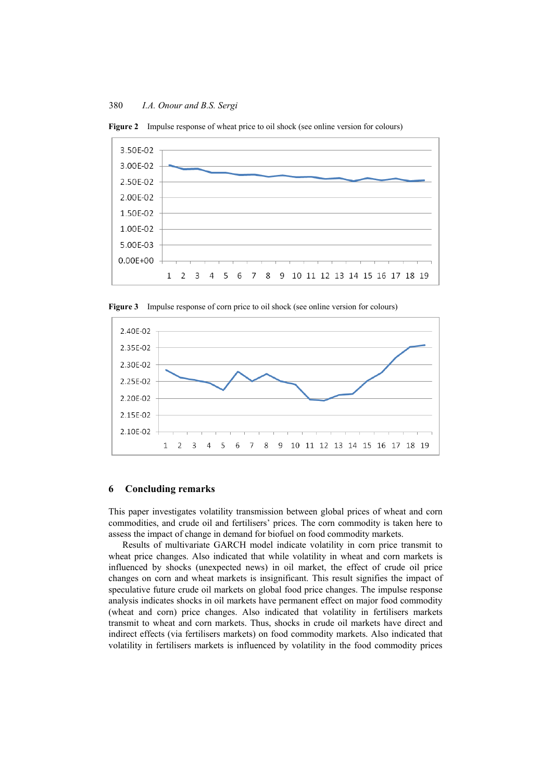380 *I.A. Onour and B.S. Sergi* 

Figure 2 Impulse response of wheat price to oil shock (see online version for colours)



**Figure 3** Impulse response of corn price to oil shock (see online version for colours)



#### **6 Concluding remarks**

This paper investigates volatility transmission between global prices of wheat and corn commodities, and crude oil and fertilisers' prices. The corn commodity is taken here to assess the impact of change in demand for biofuel on food commodity markets.

Results of multivariate GARCH model indicate volatility in corn price transmit to wheat price changes. Also indicated that while volatility in wheat and corn markets is influenced by shocks (unexpected news) in oil market, the effect of crude oil price changes on corn and wheat markets is insignificant. This result signifies the impact of speculative future crude oil markets on global food price changes. The impulse response analysis indicates shocks in oil markets have permanent effect on major food commodity (wheat and corn) price changes. Also indicated that volatility in fertilisers markets transmit to wheat and corn markets. Thus, shocks in crude oil markets have direct and indirect effects (via fertilisers markets) on food commodity markets. Also indicated that volatility in fertilisers markets is influenced by volatility in the food commodity prices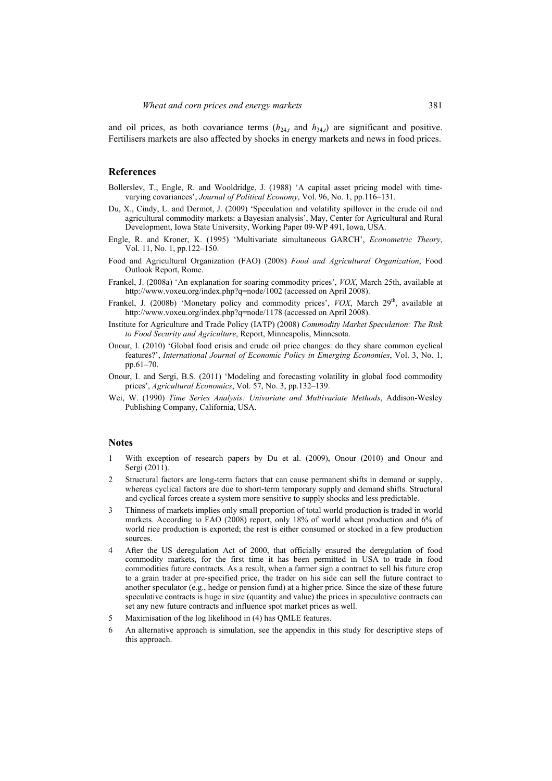and oil prices, as both covariance terms  $(h_{24,t}$  and  $h_{34,t})$  are significant and positive. Fertilisers markets are also affected by shocks in energy markets and news in food prices.

#### **References**

- Bollerslev, T., Engle, R. and Wooldridge, J. (1988) 'A capital asset pricing model with timevarying covariances', *Journal of Political Economy*, Vol. 96, No. 1, pp.116–131.
- Du, X., Cindy, L. and Dermot, J. (2009) 'Speculation and volatility spillover in the crude oil and agricultural commodity markets: a Bayesian analysis', May, Center for Agricultural and Rural Development, Iowa State University, Working Paper 09-WP 491, Iowa, USA.
- Engle, R. and Kroner, K. (1995) 'Multivariate simultaneous GARCH', *Econometric Theory*, Vol. 11, No. 1, pp.122–150.
- Food and Agricultural Organization (FAO) (2008) *Food and Agricultural Organization*, Food Outlook Report, Rome.
- Frankel, J. (2008a) 'An explanation for soaring commodity prices', *VOX*, March 25th, available at http://www.voxeu.org/index.php?q=node/1002 (accessed on April 2008).
- Frankel, J. (2008b) 'Monetary policy and commodity prices', VOX, March 29<sup>th</sup>, available at http://www.voxeu.org/index.php?q=node/1178 (accessed on April 2008).
- Institute for Agriculture and Trade Policy (IATP) (2008) *Commodity Market Speculation: The Risk to Food Security and Agriculture*, Report, Minneapolis, Minnesota.
- Onour, I. (2010) 'Global food crisis and crude oil price changes: do they share common cyclical features?', *International Journal of Economic Policy in Emerging Economies*, Vol. 3, No. 1, pp.61–70.
- Onour, I. and Sergi, B.S. (2011) 'Modeling and forecasting volatility in global food commodity prices', *Agricultural Economics*, Vol. 57, No. 3, pp.132–139.
- Wei, W. (1990) *Time Series Analysis: Univariate and Multivariate Methods*, Addison-Wesley Publishing Company, California, USA.

#### **Notes**

- 1 With exception of research papers by Du et al. (2009), Onour (2010) and Onour and Sergi (2011).
- 2 Structural factors are long-term factors that can cause permanent shifts in demand or supply, whereas cyclical factors are due to short-term temporary supply and demand shifts. Structural and cyclical forces create a system more sensitive to supply shocks and less predictable.
- 3 Thinness of markets implies only small proportion of total world production is traded in world markets. According to FAO (2008) report, only 18% of world wheat production and 6% of world rice production is exported; the rest is either consumed or stocked in a few production sources.
- 4 After the US deregulation Act of 2000, that officially ensured the deregulation of food commodity markets, for the first time it has been permitted in USA to trade in food commodities future contracts. As a result, when a farmer sign a contract to sell his future crop to a grain trader at pre-specified price, the trader on his side can sell the future contract to another speculator (e.g., hedge or pension fund) at a higher price. Since the size of these future speculative contracts is huge in size (quantity and value) the prices in speculative contracts can set any new future contracts and influence spot market prices as well.
- 5 Maximisation of the log likelihood in (4) has QMLE features.
- 6 An alternative approach is simulation, see the appendix in this study for descriptive steps of this approach.